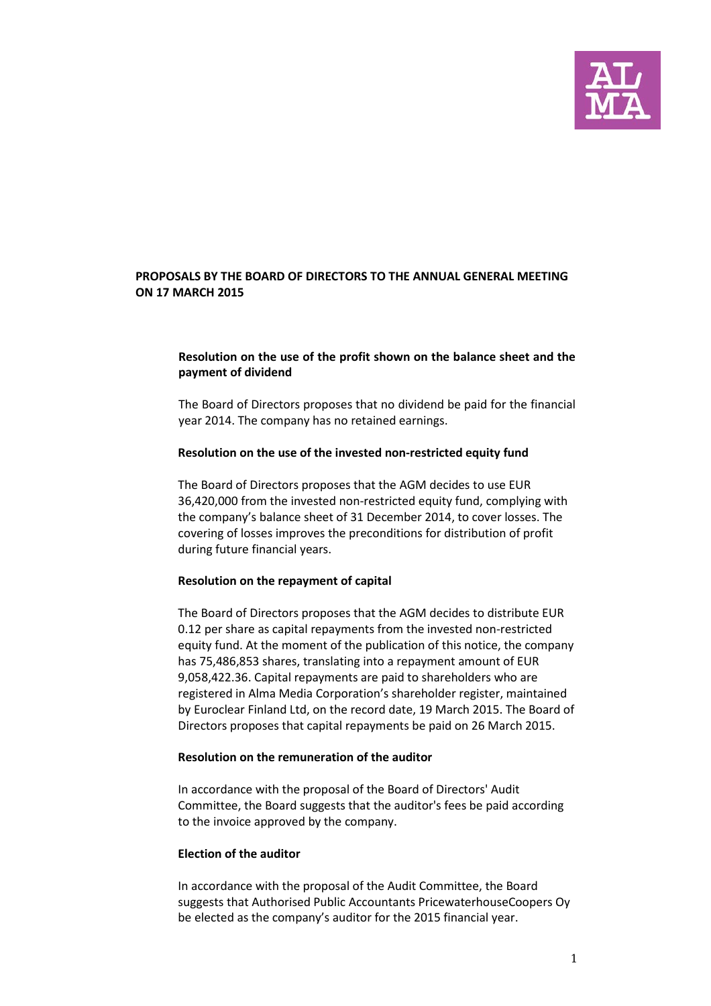

# **PROPOSALS BY THE BOARD OF DIRECTORS TO THE ANNUAL GENERAL MEETING ON 17 MARCH 2015**

# **Resolution on the use of the profit shown on the balance sheet and the payment of dividend**

The Board of Directors proposes that no dividend be paid for the financial year 2014. The company has no retained earnings.

### **Resolution on the use of the invested non-restricted equity fund**

The Board of Directors proposes that the AGM decides to use EUR 36,420,000 from the invested non-restricted equity fund, complying with the company's balance sheet of 31 December 2014, to cover losses. The covering of losses improves the preconditions for distribution of profit during future financial years.

### **Resolution on the repayment of capital**

The Board of Directors proposes that the AGM decides to distribute EUR 0.12 per share as capital repayments from the invested non-restricted equity fund. At the moment of the publication of this notice, the company has 75,486,853 shares, translating into a repayment amount of EUR 9,058,422.36. Capital repayments are paid to shareholders who are registered in Alma Media Corporation's shareholder register, maintained by Euroclear Finland Ltd, on the record date, 19 March 2015. The Board of Directors proposes that capital repayments be paid on 26 March 2015.

### **Resolution on the remuneration of the auditor**

In accordance with the proposal of the Board of Directors' Audit Committee, the Board suggests that the auditor's fees be paid according to the invoice approved by the company.

### **Election of the auditor**

In accordance with the proposal of the Audit Committee, the Board suggests that Authorised Public Accountants PricewaterhouseCoopers Oy be elected as the company's auditor for the 2015 financial year.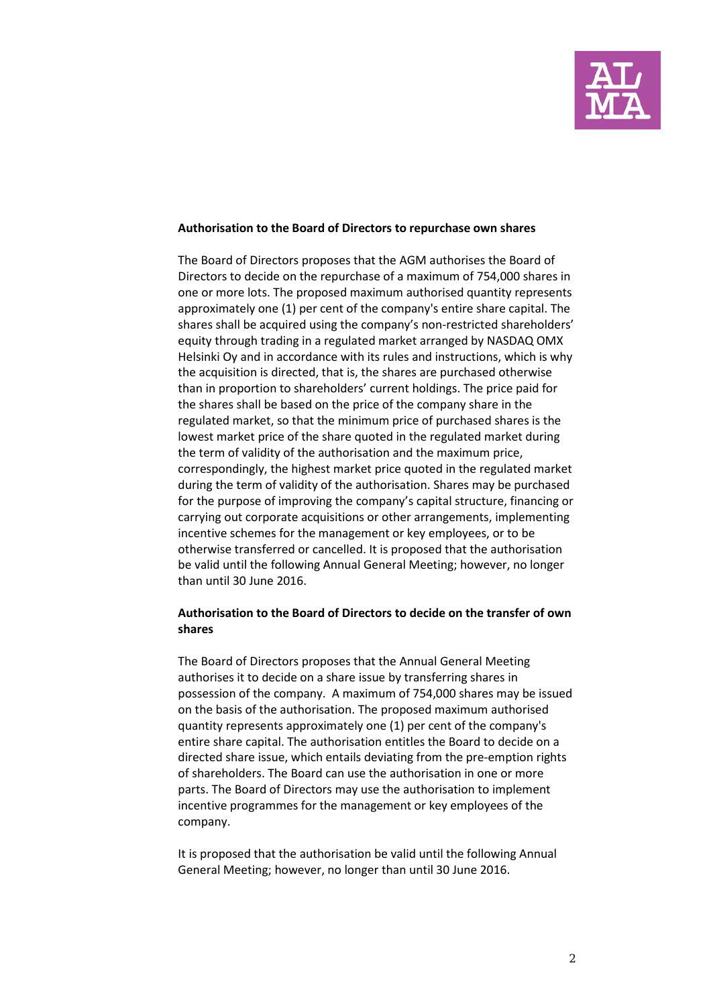

#### **Authorisation to the Board of Directors to repurchase own shares**

The Board of Directors proposes that the AGM authorises the Board of Directors to decide on the repurchase of a maximum of 754,000 shares in one or more lots. The proposed maximum authorised quantity represents approximately one (1) per cent of the company's entire share capital. The shares shall be acquired using the company's non-restricted shareholders' equity through trading in a regulated market arranged by NASDAQ OMX Helsinki Oy and in accordance with its rules and instructions, which is why the acquisition is directed, that is, the shares are purchased otherwise than in proportion to shareholders' current holdings. The price paid for the shares shall be based on the price of the company share in the regulated market, so that the minimum price of purchased shares is the lowest market price of the share quoted in the regulated market during the term of validity of the authorisation and the maximum price, correspondingly, the highest market price quoted in the regulated market during the term of validity of the authorisation. Shares may be purchased for the purpose of improving the company's capital structure, financing or carrying out corporate acquisitions or other arrangements, implementing incentive schemes for the management or key employees, or to be otherwise transferred or cancelled. It is proposed that the authorisation be valid until the following Annual General Meeting; however, no longer than until 30 June 2016.

## **Authorisation to the Board of Directors to decide on the transfer of own shares**

The Board of Directors proposes that the Annual General Meeting authorises it to decide on a share issue by transferring shares in possession of the company. A maximum of 754,000 shares may be issued on the basis of the authorisation. The proposed maximum authorised quantity represents approximately one (1) per cent of the company's entire share capital. The authorisation entitles the Board to decide on a directed share issue, which entails deviating from the pre-emption rights of shareholders. The Board can use the authorisation in one or more parts. The Board of Directors may use the authorisation to implement incentive programmes for the management or key employees of the company.

It is proposed that the authorisation be valid until the following Annual General Meeting; however, no longer than until 30 June 2016.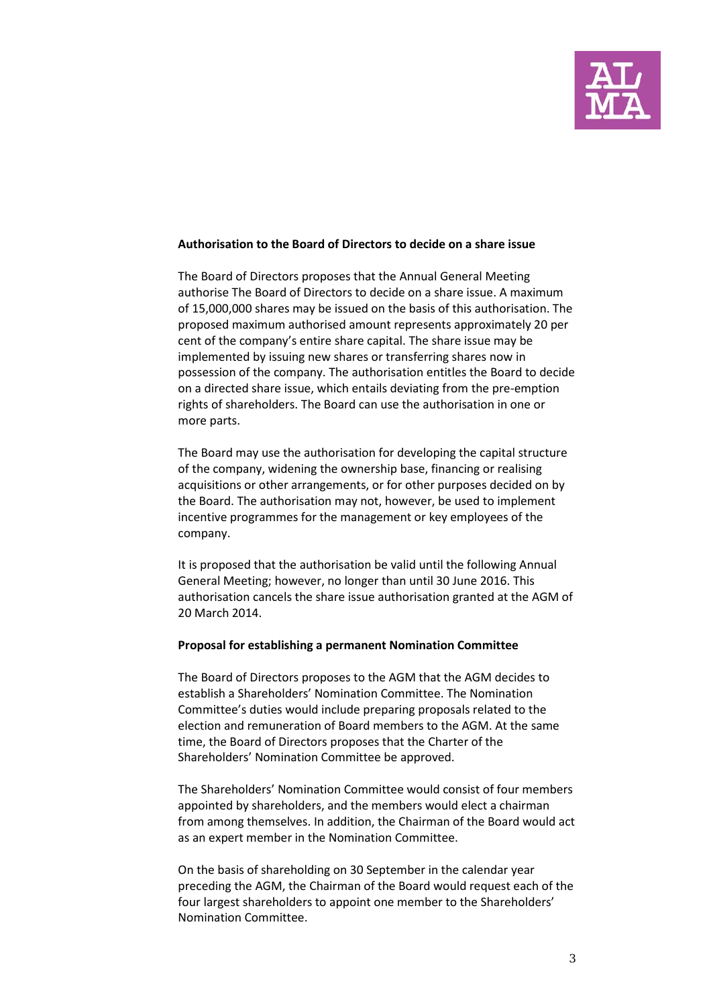

#### **Authorisation to the Board of Directors to decide on a share issue**

The Board of Directors proposes that the Annual General Meeting authorise The Board of Directors to decide on a share issue. A maximum of 15,000,000 shares may be issued on the basis of this authorisation. The proposed maximum authorised amount represents approximately 20 per cent of the company's entire share capital. The share issue may be implemented by issuing new shares or transferring shares now in possession of the company. The authorisation entitles the Board to decide on a directed share issue, which entails deviating from the pre-emption rights of shareholders. The Board can use the authorisation in one or more parts.

The Board may use the authorisation for developing the capital structure of the company, widening the ownership base, financing or realising acquisitions or other arrangements, or for other purposes decided on by the Board. The authorisation may not, however, be used to implement incentive programmes for the management or key employees of the company.

It is proposed that the authorisation be valid until the following Annual General Meeting; however, no longer than until 30 June 2016. This authorisation cancels the share issue authorisation granted at the AGM of 20 March 2014.

### **Proposal for establishing a permanent Nomination Committee**

The Board of Directors proposes to the AGM that the AGM decides to establish a Shareholders' Nomination Committee. The Nomination Committee's duties would include preparing proposals related to the election and remuneration of Board members to the AGM. At the same time, the Board of Directors proposes that the Charter of the Shareholders' Nomination Committee be approved.

The Shareholders' Nomination Committee would consist of four members appointed by shareholders, and the members would elect a chairman from among themselves. In addition, the Chairman of the Board would act as an expert member in the Nomination Committee.

On the basis of shareholding on 30 September in the calendar year preceding the AGM, the Chairman of the Board would request each of the four largest shareholders to appoint one member to the Shareholders' Nomination Committee.